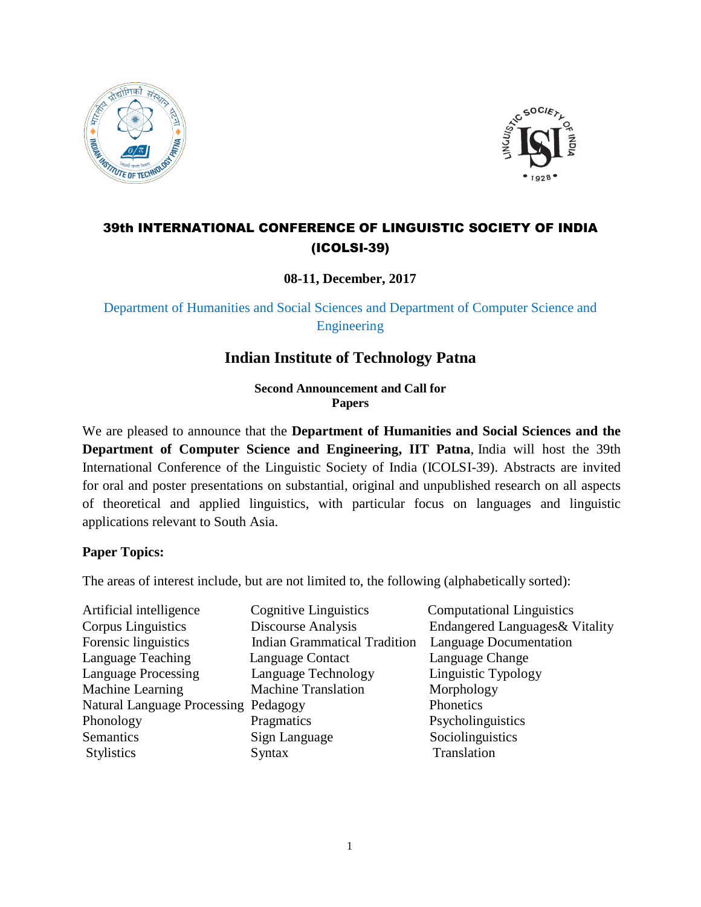



# 39th INTERNATIONAL CONFERENCE OF LINGUISTIC SOCIETY OF INDIA (ICOLSI-39)

**08-11, December, 2017**

Department of Humanities and Social Sciences and Department of Computer Science and Engineering

# **Indian Institute of Technology Patna**

**Second Announcement and Call for Papers**

We are pleased to announce that the **Department of Humanities and Social Sciences and the Department of Computer Science and Engineering, IIT Patna**, India will host the 39th International Conference of the Linguistic Society of India (ICOLSI-39). Abstracts are invited for oral and poster presentations on substantial, original and unpublished research on all aspects of theoretical and applied linguistics, with particular focus on languages and linguistic applications relevant to South Asia.

# **Paper Topics:**

The areas of interest include, but are not limited to, the following (alphabetically sorted):

| Artificial intelligence                     | <b>Cognitive Linguistics</b>        | <b>Computational Linguistics</b> |
|---------------------------------------------|-------------------------------------|----------------------------------|
| <b>Corpus Linguistics</b>                   | Discourse Analysis                  | Endangered Languages & Vitality  |
| Forensic linguistics                        | <b>Indian Grammatical Tradition</b> | Language Documentation           |
| Language Teaching                           | Language Contact                    | Language Change                  |
| <b>Language Processing</b>                  | Language Technology                 | Linguistic Typology              |
| Machine Learning                            | <b>Machine Translation</b>          | Morphology                       |
| <b>Natural Language Processing Pedagogy</b> |                                     | Phonetics                        |
| Phonology                                   | Pragmatics                          | Psycholinguistics                |
| Semantics                                   | Sign Language                       | Sociolinguistics                 |
| <b>Stylistics</b>                           | Syntax                              | Translation                      |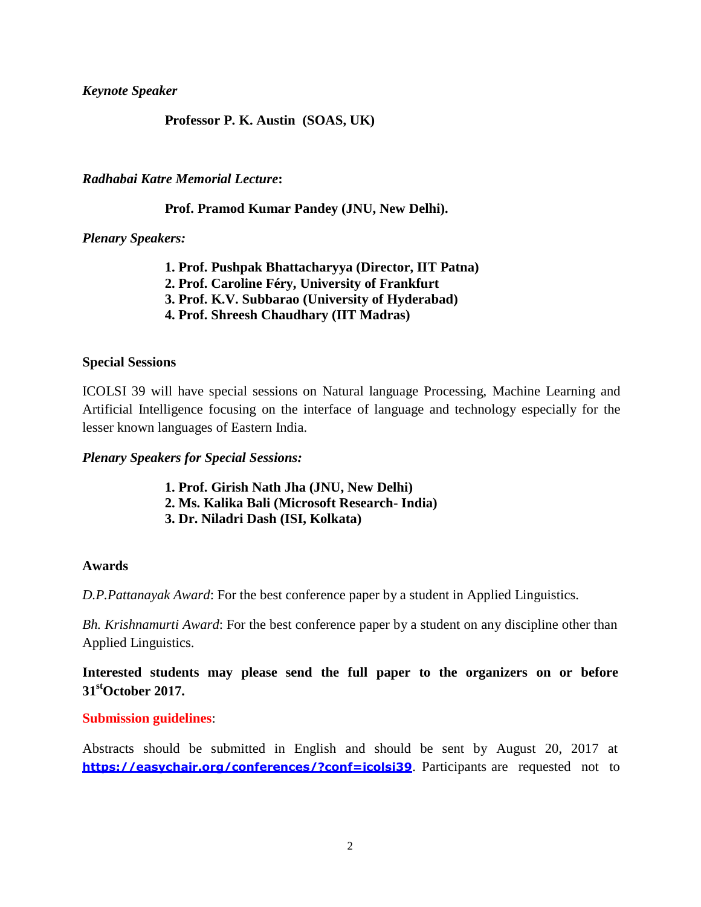*Keynote Speaker*

### **Professor P. K. Austin (SOAS, UK)**

### *Radhabai Katre Memorial Lecture***:**

### **Prof. Pramod Kumar Pandey (JNU, New Delhi).**

*Plenary Speakers:*

- **1. Prof. Pushpak Bhattacharyya (Director, IIT Patna)**
- **2. Prof. Caroline Féry, University of Frankfurt**
- **3. Prof. K.V. Subbarao (University of Hyderabad)**
- **4. Prof. Shreesh Chaudhary (IIT Madras)**

### **Special Sessions**

ICOLSI 39 will have special sessions on Natural language Processing, Machine Learning and Artificial Intelligence focusing on the interface of language and technology especially for the lesser known languages of Eastern India.

### *Plenary Speakers for Special Sessions:*

- **1. Prof. Girish Nath Jha (JNU, New Delhi)**
- **2. Ms. Kalika Bali (Microsoft Research- India)**
- **3. Dr. Niladri Dash (ISI, Kolkata)**

### **Awards**

*D.P.Pattanayak Award*: For the best conference paper by a student in Applied Linguistics.

*Bh. Krishnamurti Award*: For the best conference paper by a student on any discipline other than Applied Linguistics.

**Interested students may please send the full paper to the organizers on or before 31stOctober 2017.** 

### **Submission guidelines**:

Abstracts should be submitted in English and should be sent by August 20, 2017 at **<https://easychair.org/conferences/?conf=icolsi39>**. Participants are requested not to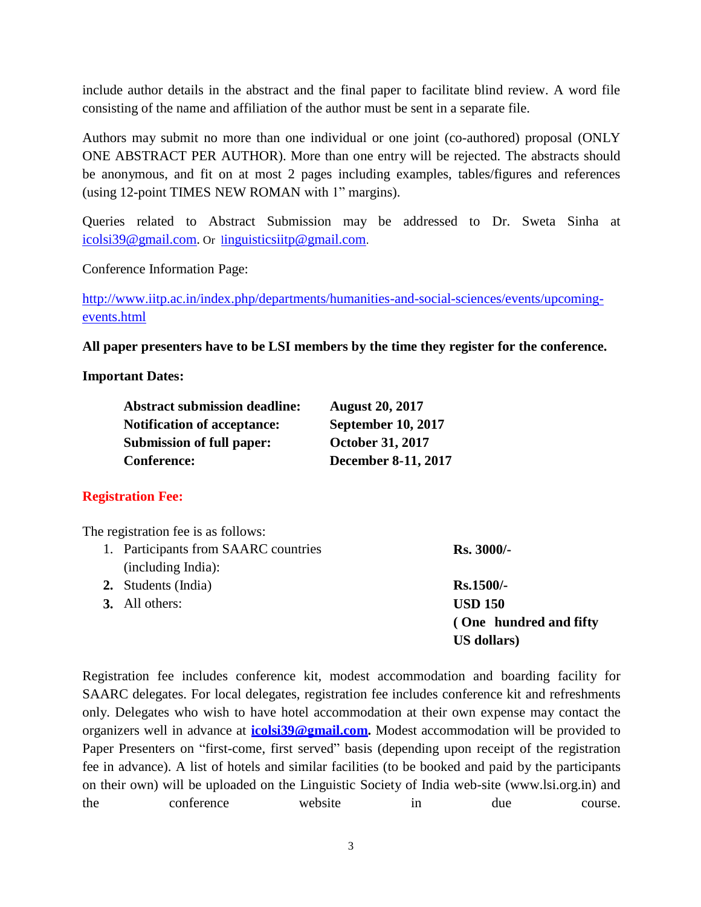include author details in the abstract and the final paper to facilitate blind review. A word file consisting of the name and affiliation of the author must be sent in a separate file.

Authors may submit no more than one individual or one joint (co-authored) proposal (ONLY ONE ABSTRACT PER AUTHOR). More than one entry will be rejected. The abstracts should be anonymous, and fit on at most 2 pages including examples, tables/figures and references (using 12-point TIMES NEW ROMAN with 1" margins).

Queries related to Abstract Submission may be addressed to Dr. Sweta Sinha at [icolsi39@gmail.com.](mailto:icolsi39@gmail.com) Or l[inguisticsiitp@gmail.com](mailto:linguisticsiitp@gmail.com).

Conference Information Page:

[http://www.iitp.ac.in/index.php/departments/humanities-and-social-sciences/events/upcoming](http://www.iitp.ac.in/index.php/departments/humanities-and-social-sciences/events/upcoming-events.html)[events.html](http://www.iitp.ac.in/index.php/departments/humanities-and-social-sciences/events/upcoming-events.html)

**All paper presenters have to be LSI members by the time they register for the conference.** 

### **Important Dates:**

| <b>Abstract submission deadline:</b> | <b>August 20, 2017</b>    |
|--------------------------------------|---------------------------|
| <b>Notification of acceptance:</b>   | <b>September 10, 2017</b> |
| <b>Submission of full paper:</b>     | <b>October 31, 2017</b>   |
| <b>Conference:</b>                   | December 8-11, 2017       |

# **Registration Fee:**

The registration fee is as follows:

| 1. Participants from SAARC countries | <b>Rs. 3000/-</b>       |
|--------------------------------------|-------------------------|
| (including India):                   |                         |
| 2. Students (India)                  | $Rs.1500/-$             |
| <b>3.</b> All others:                | <b>USD 150</b>          |
|                                      | (One hundred and fifty) |
|                                      | US dollars)             |
|                                      |                         |

Registration fee includes conference kit, modest accommodation and boarding facility for SAARC delegates. For local delegates, registration fee includes conference kit and refreshments only. Delegates who wish to have hotel accommodation at their own expense may contact the organizers well in advance at **[icolsi39@gmail.com.](mailto:icolsi39@gmail.com)** Modest accommodation will be provided to Paper Presenters on "first-come, first served" basis (depending upon receipt of the registration fee in advance). A list of hotels and similar facilities (to be booked and paid by the participants on their own) will be uploaded on the Linguistic Society of India web-site [\(www.lsi.org.in\)](http://www.lsi.org.in/) and the conference website in due course.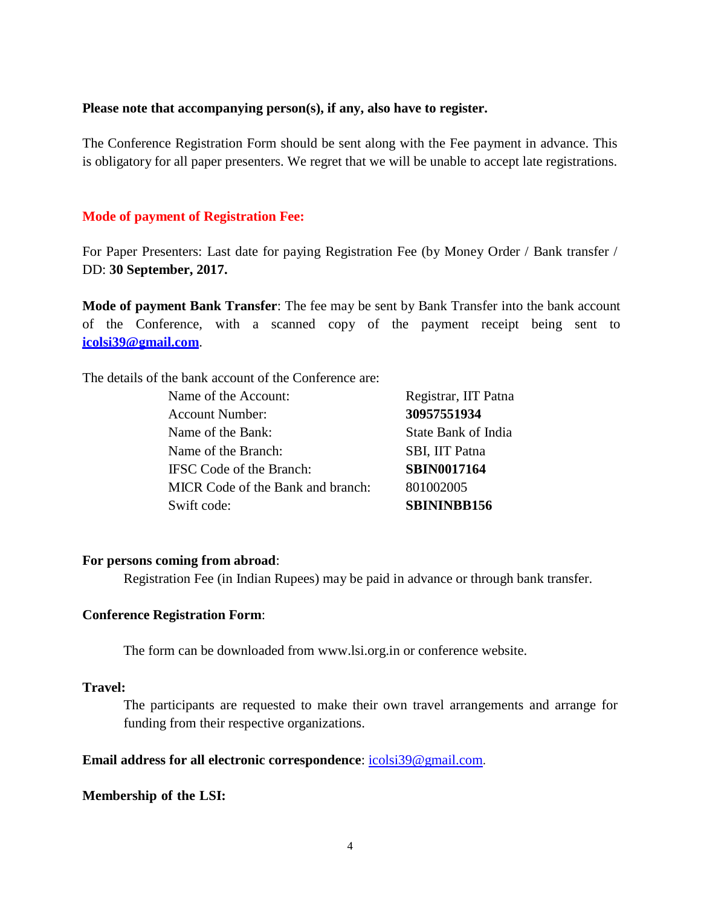#### **Please note that accompanying person(s), if any, also have to register.**

The Conference Registration Form should be sent along with the Fee payment in advance. This is obligatory for all paper presenters. We regret that we will be unable to accept late registrations.

#### **Mode of payment of Registration Fee:**

For Paper Presenters: Last date for paying Registration Fee (by Money Order / Bank transfer / DD: **30 September, 2017.**

**Mode of payment Bank Transfer**: The fee may be sent by Bank Transfer into the bank account of the Conference, with a scanned copy of the payment receipt being sent to **[icolsi39@gmail.com](mailto:icolsi39@gmail.com)**.

The details of the bank account of the Conference are:

Name of the Account: Registrar, IIT Patna Account Number: **30957551934** Name of the Bank: State Bank of India Name of the Branch: SBI, IIT Patna IFSC Code of the Branch: **SBIN0017164** MICR Code of the Bank and branch: 801002005 Swift code: **SBININBB156** 

### **For persons coming from abroad**:

Registration Fee (in Indian Rupees) may be paid in advance or through bank transfer.

#### **Conference Registration Form**:

The form can be downloaded f[rom www.lsi.org.in](http://www.lsi.org.in/) or conference website.

### **Travel:**

The participants are requested to make their own travel arrangements and arrange for funding from their respective organizations.

#### **Email address for all electronic correspondence**: [icolsi39@gmail.com](mailto:icolsi39@gmail.com).

#### **Membership of the LSI:**